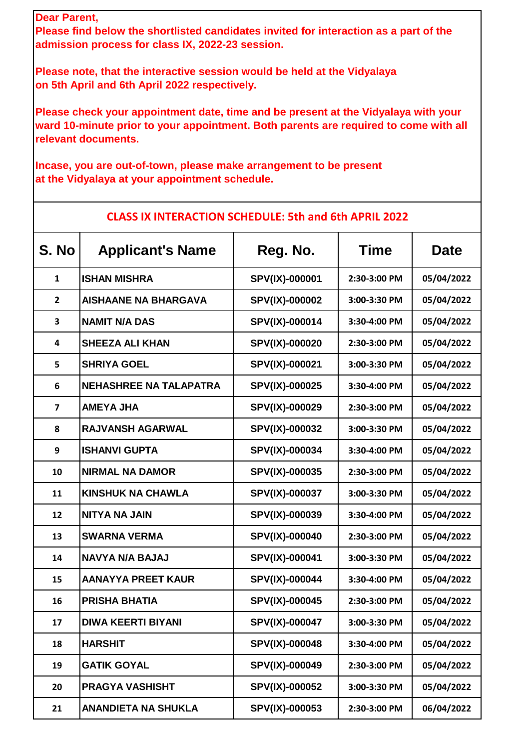## **Dear Parent,**

**Please find below the shortlisted candidates invited for interaction as a part of the admission process for class IX, 2022-23 session.**

**Please note, that the interactive session would be held at the Vidyalaya on 5th April and 6th April 2022 respectively.**

**Please check your appointment date, time and be present at the Vidyalaya with your ward 10-minute prior to your appointment. Both parents are required to come with all relevant documents.**

**Incase, you are out-of-town, please make arrangement to be present at the Vidyalaya at your appointment schedule.**

| S. No                   | <b>Applicant's Name</b>       | Reg. No.       | <b>Time</b>  | <b>Date</b> |
|-------------------------|-------------------------------|----------------|--------------|-------------|
| $\mathbf{1}$            | <b>ISHAN MISHRA</b>           | SPV(IX)-000001 | 2:30-3:00 PM | 05/04/2022  |
| $\overline{2}$          | <b>AISHAANE NA BHARGAVA</b>   | SPV(IX)-000002 | 3:00-3:30 PM | 05/04/2022  |
| 3                       | <b>NAMIT N/A DAS</b>          | SPV(IX)-000014 | 3:30-4:00 PM | 05/04/2022  |
| 4                       | <b>SHEEZA ALI KHAN</b>        | SPV(IX)-000020 | 2:30-3:00 PM | 05/04/2022  |
| 5                       | <b>SHRIYA GOEL</b>            | SPV(IX)-000021 | 3:00-3:30 PM | 05/04/2022  |
| 6                       | <b>NEHASHREE NA TALAPATRA</b> | SPV(IX)-000025 | 3:30-4:00 PM | 05/04/2022  |
| $\overline{\mathbf{z}}$ | <b>AMEYA JHA</b>              | SPV(IX)-000029 | 2:30-3:00 PM | 05/04/2022  |
| 8                       | <b>RAJVANSH AGARWAL</b>       | SPV(IX)-000032 | 3:00-3:30 PM | 05/04/2022  |
| 9                       | <b>ISHANVI GUPTA</b>          | SPV(IX)-000034 | 3:30-4:00 PM | 05/04/2022  |
| 10                      | <b>NIRMAL NA DAMOR</b>        | SPV(IX)-000035 | 2:30-3:00 PM | 05/04/2022  |
| 11                      | <b>KINSHUK NA CHAWLA</b>      | SPV(IX)-000037 | 3:00-3:30 PM | 05/04/2022  |
| 12                      | <b>NITYA NA JAIN</b>          | SPV(IX)-000039 | 3:30-4:00 PM | 05/04/2022  |
| 13                      | <b>SWARNA VERMA</b>           | SPV(IX)-000040 | 2:30-3:00 PM | 05/04/2022  |
| 14                      | <b>NAVYA N/A BAJAJ</b>        | SPV(IX)-000041 | 3:00-3:30 PM | 05/04/2022  |
| 15                      | <b>AANAYYA PREET KAUR</b>     | SPV(IX)-000044 | 3:30-4:00 PM | 05/04/2022  |
| 16                      | <b>PRISHA BHATIA</b>          | SPV(IX)-000045 | 2:30-3:00 PM | 05/04/2022  |
| 17                      | <b>DIWA KEERTI BIYANI</b>     | SPV(IX)-000047 | 3:00-3:30 PM | 05/04/2022  |
| 18                      | <b>HARSHIT</b>                | SPV(IX)-000048 | 3:30-4:00 PM | 05/04/2022  |
| 19                      | <b>GATIK GOYAL</b>            | SPV(IX)-000049 | 2:30-3:00 PM | 05/04/2022  |
| 20                      | <b>PRAGYA VASHISHT</b>        | SPV(IX)-000052 | 3:00-3:30 PM | 05/04/2022  |
| 21                      | <b>ANANDIETA NA SHUKLA</b>    | SPV(IX)-000053 | 2:30-3:00 PM | 06/04/2022  |

## **CLASS IX INTERACTION SCHEDULE: 5th and 6th APRIL 2022**